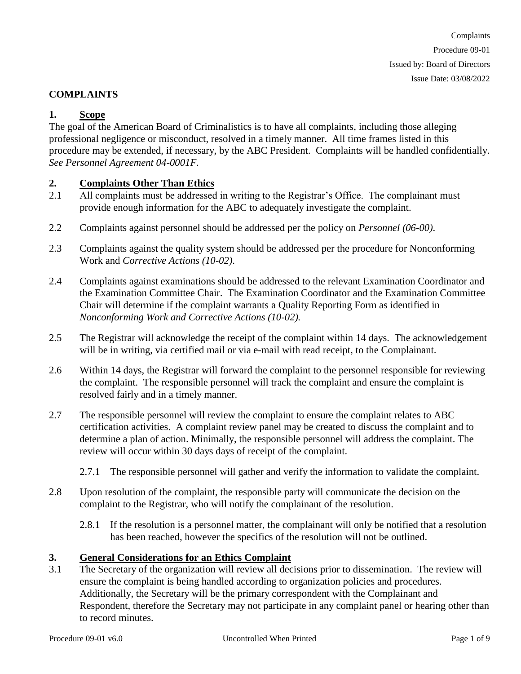### **COMPLAINTS**

### **1. Scope**

The goal of the American Board of Criminalistics is to have all complaints, including those alleging professional negligence or misconduct, resolved in a timely manner.All time frames listed in this procedure may be extended, if necessary, by the ABC President. Complaints will be handled confidentially. *See Personnel Agreement 04-0001F.*

#### **2. Complaints Other Than Ethics**

- 2.1 All complaints must be addressed in writing to the Registrar's Office. The complainant must provide enough information for the ABC to adequately investigate the complaint.
- 2.2 Complaints against personnel should be addressed per the policy on *Personnel (06-00)*.
- 2.3 Complaints against the quality system should be addressed per the procedure for Nonconforming Work and *Corrective Actions (10-02)*.
- 2.4 Complaints against examinations should be addressed to the relevant Examination Coordinator and the Examination Committee Chair. The Examination Coordinator and the Examination Committee Chair will determine if the complaint warrants a Quality Reporting Form as identified in *Nonconforming Work and Corrective Actions (10-02).*
- 2.5 The Registrar will acknowledge the receipt of the complaint within 14 days. The acknowledgement will be in writing, via certified mail or via e-mail with read receipt, to the Complainant.
- 2.6 Within 14 days, the Registrar will forward the complaint to the personnel responsible for reviewing the complaint. The responsible personnel will track the complaint and ensure the complaint is resolved fairly and in a timely manner.
- 2.7 The responsible personnel will review the complaint to ensure the complaint relates to ABC certification activities. A complaint review panel may be created to discuss the complaint and to determine a plan of action. Minimally, the responsible personnel will address the complaint. The review will occur within 30 days days of receipt of the complaint.
	- 2.7.1 The responsible personnel will gather and verify the information to validate the complaint.
- 2.8 Upon resolution of the complaint, the responsible party will communicate the decision on the complaint to the Registrar, who will notify the complainant of the resolution.
	- 2.8.1 If the resolution is a personnel matter, the complainant will only be notified that a resolution has been reached, however the specifics of the resolution will not be outlined.

#### **3. General Considerations for an Ethics Complaint**

3.1 The Secretary of the organization will review all decisions prior to dissemination. The review will ensure the complaint is being handled according to organization policies and procedures. Additionally, the Secretary will be the primary correspondent with the Complainant and Respondent, therefore the Secretary may not participate in any complaint panel or hearing other than to record minutes.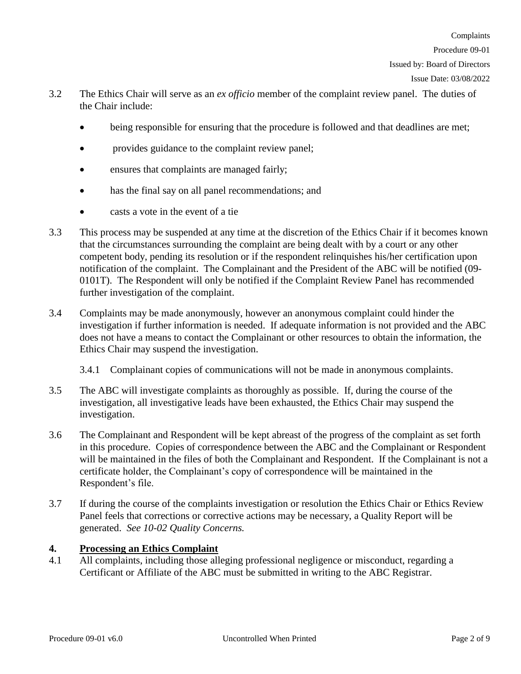Complaints

Issued by: Board of Directors

Issue Date: 03/08/2022

- 3.2 The Ethics Chair will serve as an *ex officio* member of the complaint review panel. The duties of the Chair include:
	- being responsible for ensuring that the procedure is followed and that deadlines are met;
	- provides guidance to the complaint review panel;
	- ensures that complaints are managed fairly;
	- has the final say on all panel recommendations; and
	- casts a vote in the event of a tie
- 3.3 This process may be suspended at any time at the discretion of the Ethics Chair if it becomes known that the circumstances surrounding the complaint are being dealt with by a court or any other competent body, pending its resolution or if the respondent relinquishes his/her certification upon notification of the complaint. The Complainant and the President of the ABC will be notified (09- 0101T). The Respondent will only be notified if the Complaint Review Panel has recommended further investigation of the complaint.
- 3.4 Complaints may be made anonymously, however an anonymous complaint could hinder the investigation if further information is needed. If adequate information is not provided and the ABC does not have a means to contact the Complainant or other resources to obtain the information, the Ethics Chair may suspend the investigation.
	- 3.4.1 Complainant copies of communications will not be made in anonymous complaints.
- 3.5 The ABC will investigate complaints as thoroughly as possible. If, during the course of the investigation, all investigative leads have been exhausted, the Ethics Chair may suspend the investigation.
- 3.6 The Complainant and Respondent will be kept abreast of the progress of the complaint as set forth in this procedure. Copies of correspondence between the ABC and the Complainant or Respondent will be maintained in the files of both the Complainant and Respondent. If the Complainant is not a certificate holder, the Complainant's copy of correspondence will be maintained in the Respondent's file.
- 3.7 If during the course of the complaints investigation or resolution the Ethics Chair or Ethics Review Panel feels that corrections or corrective actions may be necessary, a Quality Report will be generated. *See 10-02 Quality Concerns.*

# **4. Processing an Ethics Complaint**

4.1 All complaints, including those alleging professional negligence or misconduct, regarding a Certificant or Affiliate of the ABC must be submitted in writing to the ABC Registrar.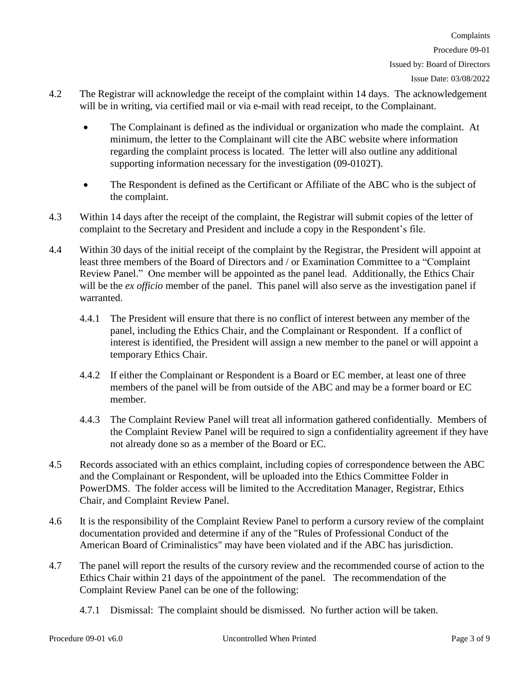- 4.2 The Registrar will acknowledge the receipt of the complaint within 14 days. The acknowledgement will be in writing, via certified mail or via e-mail with read receipt, to the Complainant.
	- The Complainant is defined as the individual or organization who made the complaint. At minimum, the letter to the Complainant will cite the ABC website where information regarding the complaint process is located. The letter will also outline any additional supporting information necessary for the investigation (09-0102T).
	- The Respondent is defined as the Certificant or Affiliate of the ABC who is the subject of the complaint.
- 4.3 Within 14 days after the receipt of the complaint, the Registrar will submit copies of the letter of complaint to the Secretary and President and include a copy in the Respondent's file.
- 4.4 Within 30 days of the initial receipt of the complaint by the Registrar, the President will appoint at least three members of the Board of Directors and / or Examination Committee to a "Complaint Review Panel." One member will be appointed as the panel lead. Additionally, the Ethics Chair will be the *ex officio* member of the panel. This panel will also serve as the investigation panel if warranted.
	- 4.4.1 The President will ensure that there is no conflict of interest between any member of the panel, including the Ethics Chair, and the Complainant or Respondent. If a conflict of interest is identified, the President will assign a new member to the panel or will appoint a temporary Ethics Chair.
	- 4.4.2 If either the Complainant or Respondent is a Board or EC member, at least one of three members of the panel will be from outside of the ABC and may be a former board or EC member.
	- 4.4.3 The Complaint Review Panel will treat all information gathered confidentially. Members of the Complaint Review Panel will be required to sign a confidentiality agreement if they have not already done so as a member of the Board or EC.
- 4.5 Records associated with an ethics complaint, including copies of correspondence between the ABC and the Complainant or Respondent, will be uploaded into the Ethics Committee Folder in PowerDMS. The folder access will be limited to the Accreditation Manager, Registrar, Ethics Chair, and Complaint Review Panel.
- 4.6 It is the responsibility of the Complaint Review Panel to perform a cursory review of the complaint documentation provided and determine if any of the "Rules of Professional Conduct of the American Board of Criminalistics" may have been violated and if the ABC has jurisdiction.
- 4.7 The panel will report the results of the cursory review and the recommended course of action to the Ethics Chair within 21 days of the appointment of the panel. The recommendation of the Complaint Review Panel can be one of the following:
	- 4.7.1 Dismissal: The complaint should be dismissed. No further action will be taken.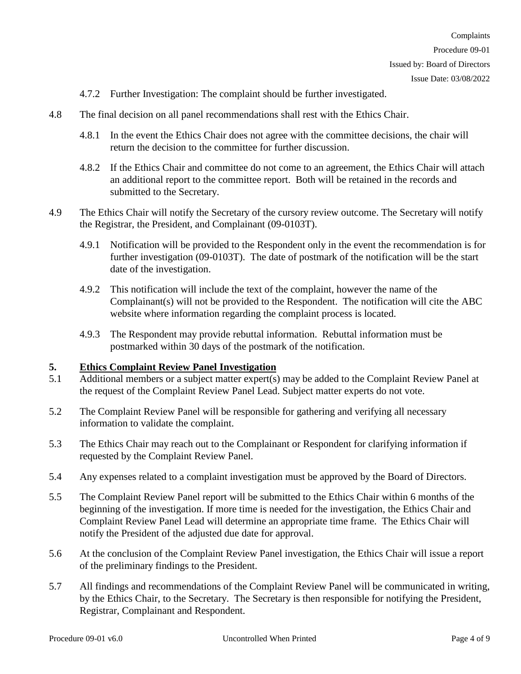- 4.7.2 Further Investigation: The complaint should be further investigated.
- 4.8 The final decision on all panel recommendations shall rest with the Ethics Chair.
	- 4.8.1 In the event the Ethics Chair does not agree with the committee decisions, the chair will return the decision to the committee for further discussion.
	- 4.8.2 If the Ethics Chair and committee do not come to an agreement, the Ethics Chair will attach an additional report to the committee report. Both will be retained in the records and submitted to the Secretary.
- 4.9 The Ethics Chair will notify the Secretary of the cursory review outcome. The Secretary will notify the Registrar, the President, and Complainant (09-0103T).
	- 4.9.1 Notification will be provided to the Respondent only in the event the recommendation is for further investigation (09-0103T). The date of postmark of the notification will be the start date of the investigation.
	- 4.9.2 This notification will include the text of the complaint, however the name of the Complainant(s) will not be provided to the Respondent. The notification will cite the ABC website where information regarding the complaint process is located.
	- 4.9.3 The Respondent may provide rebuttal information. Rebuttal information must be postmarked within 30 days of the postmark of the notification.

### **5. Ethics Complaint Review Panel Investigation**

- 5.1 Additional members or a subject matter expert(s) may be added to the Complaint Review Panel at the request of the Complaint Review Panel Lead. Subject matter experts do not vote.
- 5.2 The Complaint Review Panel will be responsible for gathering and verifying all necessary information to validate the complaint.
- 5.3 The Ethics Chair may reach out to the Complainant or Respondent for clarifying information if requested by the Complaint Review Panel.
- 5.4 Any expenses related to a complaint investigation must be approved by the Board of Directors.
- 5.5 The Complaint Review Panel report will be submitted to the Ethics Chair within 6 months of the beginning of the investigation. If more time is needed for the investigation, the Ethics Chair and Complaint Review Panel Lead will determine an appropriate time frame. The Ethics Chair will notify the President of the adjusted due date for approval.
- 5.6 At the conclusion of the Complaint Review Panel investigation, the Ethics Chair will issue a report of the preliminary findings to the President.
- 5.7 All findings and recommendations of the Complaint Review Panel will be communicated in writing, by the Ethics Chair, to the Secretary. The Secretary is then responsible for notifying the President, Registrar, Complainant and Respondent.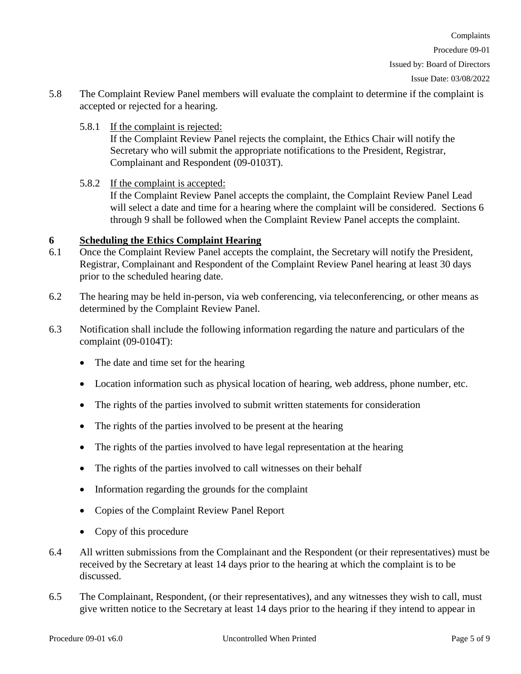Complaints

Issued by: Board of Directors

Issue Date: 03/08/2022

- 5.8 The Complaint Review Panel members will evaluate the complaint to determine if the complaint is accepted or rejected for a hearing.
	- 5.8.1 If the complaint is rejected: If the Complaint Review Panel rejects the complaint, the Ethics Chair will notify the Secretary who will submit the appropriate notifications to the President, Registrar, Complainant and Respondent (09-0103T).
	- 5.8.2 If the complaint is accepted: If the Complaint Review Panel accepts the complaint, the Complaint Review Panel Lead will select a date and time for a hearing where the complaint will be considered. Sections 6 through 9 shall be followed when the Complaint Review Panel accepts the complaint.

# **6 Scheduling the Ethics Complaint Hearing**

- 6.1 Once the Complaint Review Panel accepts the complaint, the Secretary will notify the President, Registrar, Complainant and Respondent of the Complaint Review Panel hearing at least 30 days prior to the scheduled hearing date.
- 6.2 The hearing may be held in-person, via web conferencing, via teleconferencing, or other means as determined by the Complaint Review Panel.
- 6.3 Notification shall include the following information regarding the nature and particulars of the complaint (09-0104T):
	- The date and time set for the hearing
	- Location information such as physical location of hearing, web address, phone number, etc.
	- The rights of the parties involved to submit written statements for consideration
	- The rights of the parties involved to be present at the hearing
	- The rights of the parties involved to have legal representation at the hearing
	- The rights of the parties involved to call witnesses on their behalf
	- Information regarding the grounds for the complaint
	- Copies of the Complaint Review Panel Report
	- Copy of this procedure
- 6.4 All written submissions from the Complainant and the Respondent (or their representatives) must be received by the Secretary at least 14 days prior to the hearing at which the complaint is to be discussed.
- 6.5 The Complainant, Respondent, (or their representatives), and any witnesses they wish to call, must give written notice to the Secretary at least 14 days prior to the hearing if they intend to appear in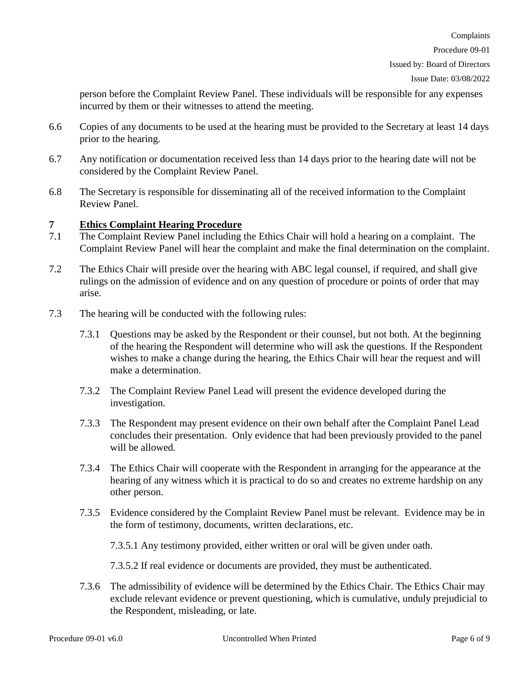Issue Date: 03/08/2022

person before the Complaint Review Panel. These individuals will be responsible for any expenses incurred by them or their witnesses to attend the meeting.

- 6.6 Copies of any documents to be used at the hearing must be provided to the Secretary at least 14 days prior to the hearing.
- 6.7 Any notification or documentation received less than 14 days prior to the hearing date will not be considered by the Complaint Review Panel.
- 6.8 The Secretary is responsible for disseminating all of the received information to the Complaint Review Panel.

### **7 Ethics Complaint Hearing Procedure**

- 7.1 The Complaint Review Panel including the Ethics Chair will hold a hearing on a complaint. The Complaint Review Panel will hear the complaint and make the final determination on the complaint.
- 7.2 The Ethics Chair will preside over the hearing with ABC legal counsel, if required, and shall give rulings on the admission of evidence and on any question of procedure or points of order that may arise.
- 7.3 The hearing will be conducted with the following rules:
	- 7.3.1 Questions may be asked by the Respondent or their counsel, but not both. At the beginning of the hearing the Respondent will determine who will ask the questions. If the Respondent wishes to make a change during the hearing, the Ethics Chair will hear the request and will make a determination.
	- 7.3.2 The Complaint Review Panel Lead will present the evidence developed during the investigation.
	- 7.3.3 The Respondent may present evidence on their own behalf after the Complaint Panel Lead concludes their presentation. Only evidence that had been previously provided to the panel will be allowed.
	- 7.3.4 The Ethics Chair will cooperate with the Respondent in arranging for the appearance at the hearing of any witness which it is practical to do so and creates no extreme hardship on any other person.
	- 7.3.5 Evidence considered by the Complaint Review Panel must be relevant. Evidence may be in the form of testimony, documents, written declarations, etc.

7.3.5.1 Any testimony provided, either written or oral will be given under oath.

7.3.5.2 If real evidence or documents are provided, they must be authenticated.

7.3.6 The admissibility of evidence will be determined by the Ethics Chair. The Ethics Chair may exclude relevant evidence or prevent questioning, which is cumulative, unduly prejudicial to the Respondent, misleading, or late.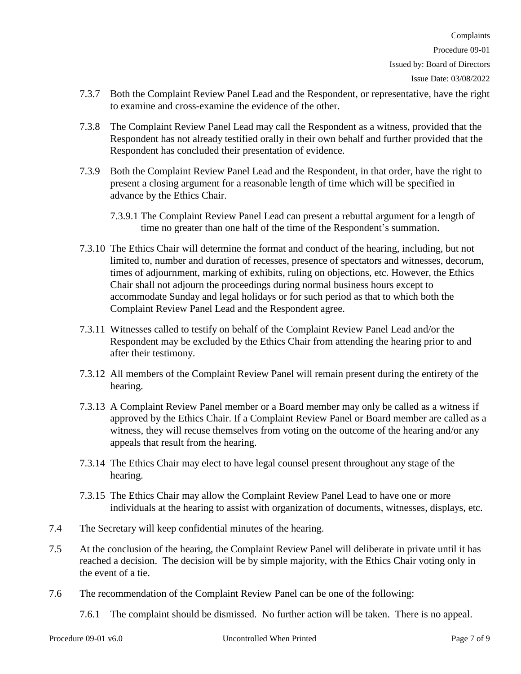- 7.3.7 Both the Complaint Review Panel Lead and the Respondent, or representative, have the right to examine and cross-examine the evidence of the other.
- 7.3.8 The Complaint Review Panel Lead may call the Respondent as a witness, provided that the Respondent has not already testified orally in their own behalf and further provided that the Respondent has concluded their presentation of evidence.
- 7.3.9 Both the Complaint Review Panel Lead and the Respondent, in that order, have the right to present a closing argument for a reasonable length of time which will be specified in advance by the Ethics Chair.
	- 7.3.9.1 The Complaint Review Panel Lead can present a rebuttal argument for a length of time no greater than one half of the time of the Respondent's summation.
- 7.3.10 The Ethics Chair will determine the format and conduct of the hearing, including, but not limited to, number and duration of recesses, presence of spectators and witnesses, decorum, times of adjournment, marking of exhibits, ruling on objections, etc. However, the Ethics Chair shall not adjourn the proceedings during normal business hours except to accommodate Sunday and legal holidays or for such period as that to which both the Complaint Review Panel Lead and the Respondent agree.
- 7.3.11 Witnesses called to testify on behalf of the Complaint Review Panel Lead and/or the Respondent may be excluded by the Ethics Chair from attending the hearing prior to and after their testimony.
- 7.3.12 All members of the Complaint Review Panel will remain present during the entirety of the hearing.
- 7.3.13 A Complaint Review Panel member or a Board member may only be called as a witness if approved by the Ethics Chair. If a Complaint Review Panel or Board member are called as a witness, they will recuse themselves from voting on the outcome of the hearing and/or any appeals that result from the hearing.
- 7.3.14 The Ethics Chair may elect to have legal counsel present throughout any stage of the hearing.
- 7.3.15 The Ethics Chair may allow the Complaint Review Panel Lead to have one or more individuals at the hearing to assist with organization of documents, witnesses, displays, etc.
- 7.4 The Secretary will keep confidential minutes of the hearing.
- 7.5 At the conclusion of the hearing, the Complaint Review Panel will deliberate in private until it has reached a decision. The decision will be by simple majority, with the Ethics Chair voting only in the event of a tie.
- 7.6 The recommendation of the Complaint Review Panel can be one of the following:
	- 7.6.1 The complaint should be dismissed. No further action will be taken. There is no appeal.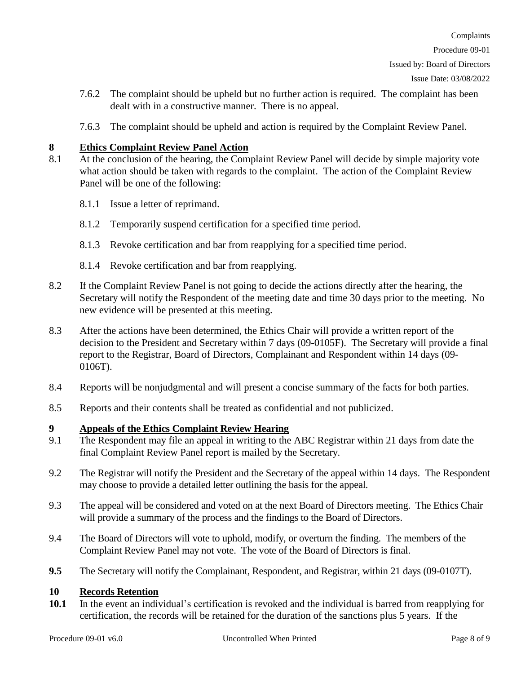Complaints

- 7.6.2 The complaint should be upheld but no further action is required. The complaint has been dealt with in a constructive manner. There is no appeal.
- 7.6.3 The complaint should be upheld and action is required by the Complaint Review Panel.

# **8 Ethics Complaint Review Panel Action**

- 8.1 At the conclusion of the hearing, the Complaint Review Panel will decide by simple majority vote what action should be taken with regards to the complaint. The action of the Complaint Review Panel will be one of the following:
	- 8.1.1 Issue a letter of reprimand.
	- 8.1.2 Temporarily suspend certification for a specified time period.
	- 8.1.3 Revoke certification and bar from reapplying for a specified time period.
	- 8.1.4 Revoke certification and bar from reapplying.
- 8.2 If the Complaint Review Panel is not going to decide the actions directly after the hearing, the Secretary will notify the Respondent of the meeting date and time 30 days prior to the meeting. No new evidence will be presented at this meeting.
- 8.3 After the actions have been determined, the Ethics Chair will provide a written report of the decision to the President and Secretary within 7 days (09-0105F). The Secretary will provide a final report to the Registrar, Board of Directors, Complainant and Respondent within 14 days (09- 0106T).
- 8.4 Reports will be nonjudgmental and will present a concise summary of the facts for both parties.
- 8.5 Reports and their contents shall be treated as confidential and not publicized.

# **9 Appeals of the Ethics Complaint Review Hearing**

- 9.1 The Respondent may file an appeal in writing to the ABC Registrar within 21 days from date the final Complaint Review Panel report is mailed by the Secretary.
- 9.2 The Registrar will notify the President and the Secretary of the appeal within 14 days. The Respondent may choose to provide a detailed letter outlining the basis for the appeal.
- 9.3 The appeal will be considered and voted on at the next Board of Directors meeting. The Ethics Chair will provide a summary of the process and the findings to the Board of Directors.
- 9.4 The Board of Directors will vote to uphold, modify, or overturn the finding. The members of the Complaint Review Panel may not vote. The vote of the Board of Directors is final.
- **9.5** The Secretary will notify the Complainant, Respondent, and Registrar, within 21 days (09-0107T).

# **10 Records Retention**

**10.1** In the event an individual's certification is revoked and the individual is barred from reapplying for certification, the records will be retained for the duration of the sanctions plus 5 years. If the